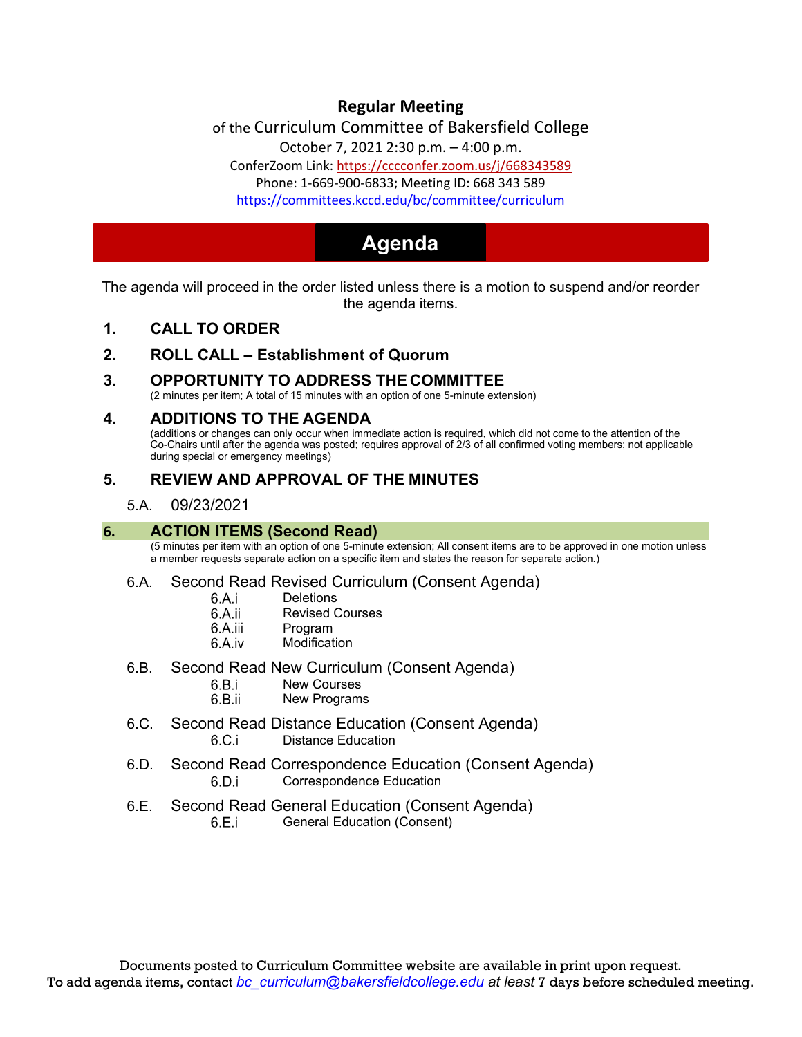# **Regular Meeting**

of the Curriculum Committee of Bakersfield College

October 7, 2021 [2:30 p.m. –](https://cccconfer.zoom.us/j/668343589) 4:00 p.m.

ConferZoom Link: https://cccconfer.zoom.us/j/668343589

[Phone: 1-669-900-6833; Meeting ID: 668 343 589](https://committees.kccd.edu/bc/committee/curriculum)

<https://committees.kccd.edu/bc/committee/curriculum>

# **Agenda**

The agenda will proceed in the order listed unless there is a motion to suspend and/or reorder the agenda items.

**1. CALL TO ORDER** 

# **2. ROLL CALL – Establishment of Quorum**

# **3. OPPORTUNITY TO ADDRESS THE COMMITTEE**

(2 minutes per item; A total of 15 minutes with an option of one 5-minute extension)

#### **4. ADDITIONS TO THE AGENDA**

(additions or changes can only occur when immediate action is required, which did not come to the attention of the Co-Chairs until after the agenda was posted; requires approval of 2/3 of all confirmed voting members; not applicable during special or emergency meetings)

# **5. REVIEW AND APPROVAL OF THE MINUTES**

#### 5.A. 09/23/2021

#### **6. ACTION ITEMS (Second Read)**

(5 minutes per item with an option of one 5-minute extension; All consent items are to be approved in one motion unless a member requests separate action on a specific item and states the reason for separate action.)

#### 6.A. Second Read Revised Curriculum (Consent Agenda)

- 6.A.i **Deletions**
- 6.A.ii Revised Courses
- 6.A.iii Program
- 6.A.iv Modification
- 6.B. Second Read New Curriculum (Consent Agenda)
	- New Courses
	- 6.B.ii New Programs
- 6.C. Second Read Distance Education (Consent Agenda)  $6.C.i$ Distance Education
- 6.D. Second Read Correspondence Education (Consent Agenda)  $6.D.i$ Correspondence Education
- 6.E. Second Read General Education (Consent Agenda)
	- 6.E.i General Education (Consent)